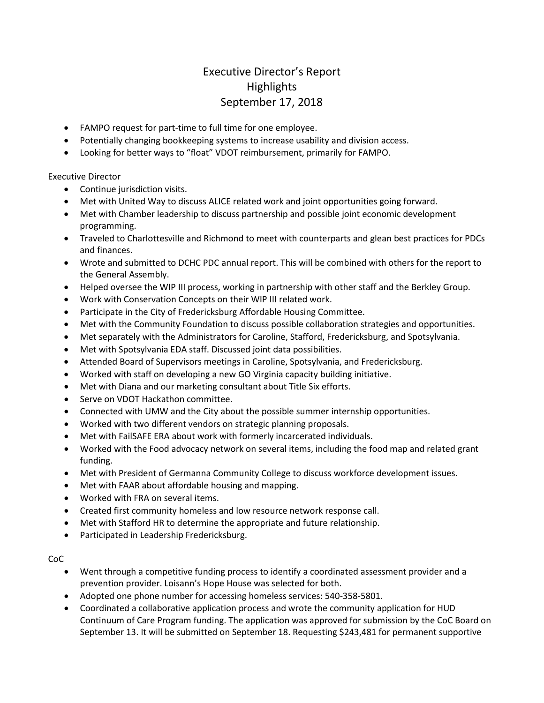## Executive Director's Report **Highlights** September 17, 2018

- FAMPO request for part-time to full time for one employee.
- Potentially changing bookkeeping systems to increase usability and division access.
- Looking for better ways to "float" VDOT reimbursement, primarily for FAMPO.

Executive Director

- Continue jurisdiction visits.
- Met with United Way to discuss ALICE related work and joint opportunities going forward.
- Met with Chamber leadership to discuss partnership and possible joint economic development programming.
- Traveled to Charlottesville and Richmond to meet with counterparts and glean best practices for PDCs and finances.
- Wrote and submitted to DCHC PDC annual report. This will be combined with others for the report to the General Assembly.
- Helped oversee the WIP III process, working in partnership with other staff and the Berkley Group.
- Work with Conservation Concepts on their WIP III related work.
- Participate in the City of Fredericksburg Affordable Housing Committee.
- Met with the Community Foundation to discuss possible collaboration strategies and opportunities.
- Met separately with the Administrators for Caroline, Stafford, Fredericksburg, and Spotsylvania.
- Met with Spotsylvania EDA staff. Discussed joint data possibilities.
- Attended Board of Supervisors meetings in Caroline, Spotsylvania, and Fredericksburg.
- Worked with staff on developing a new GO Virginia capacity building initiative.
- Met with Diana and our marketing consultant about Title Six efforts.
- Serve on VDOT Hackathon committee.
- Connected with UMW and the City about the possible summer internship opportunities.
- Worked with two different vendors on strategic planning proposals.
- Met with FailSAFE ERA about work with formerly incarcerated individuals.
- Worked with the Food advocacy network on several items, including the food map and related grant funding.
- Met with President of Germanna Community College to discuss workforce development issues.
- Met with FAAR about affordable housing and mapping.
- Worked with FRA on several items.
- Created first community homeless and low resource network response call.
- Met with Stafford HR to determine the appropriate and future relationship.
- Participated in Leadership Fredericksburg.

CoC

- Went through a competitive funding process to identify a coordinated assessment provider and a prevention provider. Loisann's Hope House was selected for both.
- Adopted one phone number for accessing homeless services: 540-358-5801.
- Coordinated a collaborative application process and wrote the community application for HUD Continuum of Care Program funding. The application was approved for submission by the CoC Board on September 13. It will be submitted on September 18. Requesting \$243,481 for permanent supportive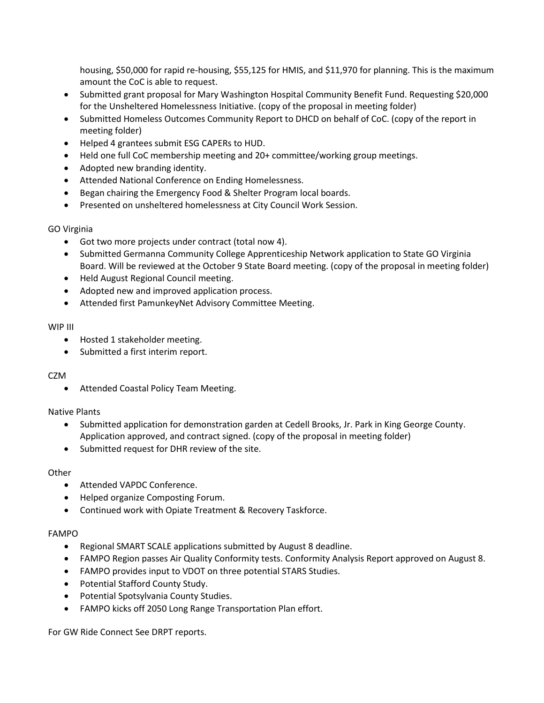housing, \$50,000 for rapid re-housing, \$55,125 for HMIS, and \$11,970 for planning. This is the maximum amount the CoC is able to request.

- Submitted grant proposal for Mary Washington Hospital Community Benefit Fund. Requesting \$20,000 for the Unsheltered Homelessness Initiative. (copy of the proposal in meeting folder)
- Submitted Homeless Outcomes Community Report to DHCD on behalf of CoC. (copy of the report in meeting folder)
- Helped 4 grantees submit ESG CAPERs to HUD.
- Held one full CoC membership meeting and 20+ committee/working group meetings.
- Adopted new branding identity.
- Attended National Conference on Ending Homelessness.
- Began chairing the Emergency Food & Shelter Program local boards.
- Presented on unsheltered homelessness at City Council Work Session.

#### GO Virginia

- Got two more projects under contract (total now 4).
- Submitted Germanna Community College Apprenticeship Network application to State GO Virginia Board. Will be reviewed at the October 9 State Board meeting. (copy of the proposal in meeting folder)
- Held August Regional Council meeting.
- Adopted new and improved application process.
- Attended first PamunkeyNet Advisory Committee Meeting.

#### WIP III

- Hosted 1 stakeholder meeting.
- Submitted a first interim report.

#### CZM

• Attended Coastal Policy Team Meeting.

#### Native Plants

- Submitted application for demonstration garden at Cedell Brooks, Jr. Park in King George County. Application approved, and contract signed. (copy of the proposal in meeting folder)
- Submitted request for DHR review of the site.

#### **Other**

- Attended VAPDC Conference.
- Helped organize Composting Forum.
- Continued work with Opiate Treatment & Recovery Taskforce.

#### FAMPO

- Regional SMART SCALE applications submitted by August 8 deadline.
- FAMPO Region passes Air Quality Conformity tests. Conformity Analysis Report approved on August 8.
- FAMPO provides input to VDOT on three potential STARS Studies.
- Potential Stafford County Study.
- Potential Spotsylvania County Studies.
- FAMPO kicks off 2050 Long Range Transportation Plan effort.

For GW Ride Connect See DRPT reports.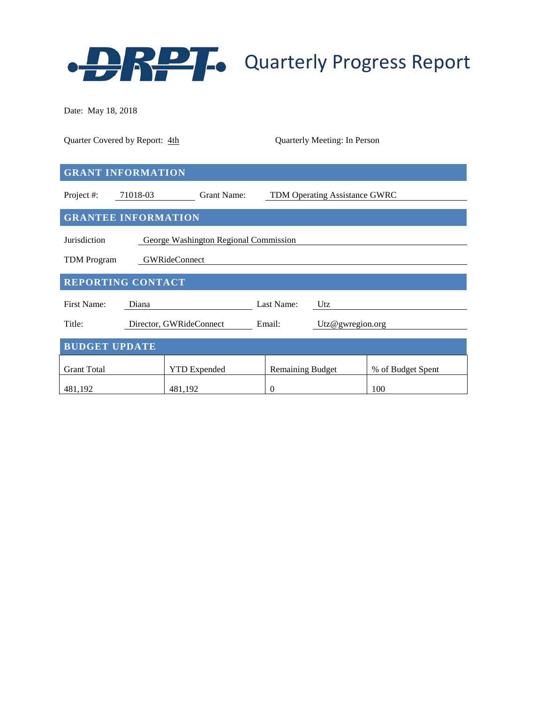

Date: May 18, 2018

| Quarter Covered by Report: 4th                        |                         | Quarterly Meeting: In Person         |                   |  |  |  |  |  |  |  |
|-------------------------------------------------------|-------------------------|--------------------------------------|-------------------|--|--|--|--|--|--|--|
| <b>GRANT INFORMATION</b>                              |                         |                                      |                   |  |  |  |  |  |  |  |
| Project #:<br>71018-03                                | Grant Name:             | <b>TDM Operating Assistance GWRC</b> |                   |  |  |  |  |  |  |  |
| <b>GRANTEE INFORMATION</b>                            |                         |                                      |                   |  |  |  |  |  |  |  |
| Jurisdiction<br>George Washington Regional Commission |                         |                                      |                   |  |  |  |  |  |  |  |
| <b>GWRideConnect</b><br><b>TDM</b> Program            |                         |                                      |                   |  |  |  |  |  |  |  |
| <b>REPORTING CONTACT</b>                              |                         |                                      |                   |  |  |  |  |  |  |  |
| <b>First Name:</b><br>Diana                           |                         | Last Name:<br>Utz                    |                   |  |  |  |  |  |  |  |
| Title:                                                | Director, GWRideConnect | Email:<br>Utz@gwregion.org           |                   |  |  |  |  |  |  |  |
| <b>BUDGET UPDATE</b>                                  |                         |                                      |                   |  |  |  |  |  |  |  |
| <b>Grant Total</b>                                    | <b>YTD</b> Expended     | <b>Remaining Budget</b>              | % of Budget Spent |  |  |  |  |  |  |  |
| 481,192                                               | 481,192                 | $\overline{0}$                       | 100               |  |  |  |  |  |  |  |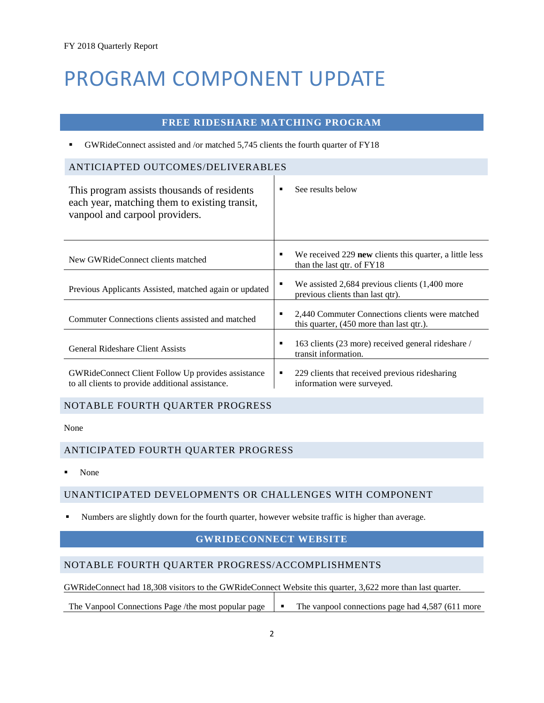# PROGRAM COMPONENT UPDATE

#### **FREE RIDESHARE MATCHING PROGRAM**

GWRideConnect assisted and /or matched 5,745 clients the fourth quarter of FY18

# ANTICIAPTED OUTCOMES/DELIVERABLES

| This program assists thousands of residents<br>each year, matching them to existing transit,<br>vanpool and carpool providers. | See results below<br>٠                                                                      |
|--------------------------------------------------------------------------------------------------------------------------------|---------------------------------------------------------------------------------------------|
| New GWRideConnect clients matched                                                                                              | We received 229 new clients this quarter, a little less<br>٠<br>than the last qtr. of FY18  |
| Previous Applicants Assisted, matched again or updated                                                                         | We assisted $2,684$ previous clients $(1,400$ more<br>٠<br>previous clients than last qtr). |
| Commuter Connections clients assisted and matched                                                                              | 2,440 Commuter Connections clients were matched<br>this quarter, (450 more than last qtr.). |
| General Rideshare Client Assists                                                                                               | 163 clients (23 more) received general rideshare /<br>٠<br>transit information.             |
| <b>GWRideConnect Client Follow Up provides assistance</b><br>to all clients to provide additional assistance.                  | 229 clients that received previous rides haring<br>٠<br>information were surveyed.          |

#### NOTABLE FOURTH QUARTER PROGRESS

None

#### ANTICIPATED FOURTH QUARTER PROGRESS

None

#### UNANTICIPATED DEVELOPMENTS OR CHALLENGES WITH COMPONENT

Numbers are slightly down for the fourth quarter, however website traffic is higher than average.

#### **GWRIDECONNECT WEBSITE**

#### NOTABLE FOURTH QUARTER PROGRESS/ACCOMPLISHMENTS

GWRideConnect had 18,308 visitors to the GWRideConnect Website this quarter, 3,622 more than last quarter.

The Vanpool Connections Page /the most popular page **The vanpool connections page had 4,587 (611 more**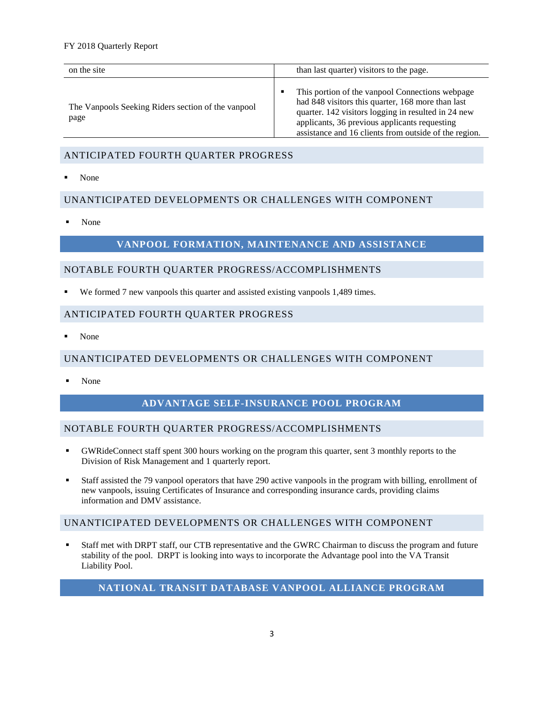#### FY 2018 Quarterly Report

| on the site                                                | than last quarter) visitors to the page.                                                                                                                                                                                                                                   |
|------------------------------------------------------------|----------------------------------------------------------------------------------------------------------------------------------------------------------------------------------------------------------------------------------------------------------------------------|
| The Vanpools Seeking Riders section of the vanpool<br>page | This portion of the vanpool Connections webpage<br>٠<br>had 848 visitors this quarter, 168 more than last<br>quarter. 142 visitors logging in resulted in 24 new<br>applicants, 36 previous applicants requesting<br>assistance and 16 clients from outside of the region. |

#### ANTICIPATED FOURTH QUARTER PROGRESS

None

#### UNANTICIPATED DEVELOPMENTS OR CHALLENGES WITH COMPONENT

None

### **VANPOOL FORMATION, MAINTENANCE AND ASSISTANCE**

#### NOTABLE FOURTH QUARTER PROGRESS/ACCOMPLISHMENTS

We formed 7 new vanpools this quarter and assisted existing vanpools 1,489 times.

#### ANTICIPATED FOURTH QUARTER PROGRESS

None

#### UNANTICIPATED DEVELOPMENTS OR CHALLENGES WITH COMPONENT

None

#### **ADVANTAGE SELF-INSURANCE POOL PROGRAM**

#### NOTABLE FOURTH QUARTER PROGRESS/ACCOMPLISHMENTS

- GWRideConnect staff spent 300 hours working on the program this quarter, sent 3 monthly reports to the Division of Risk Management and 1 quarterly report.
- Staff assisted the 79 vanpool operators that have 290 active vanpools in the program with billing, enrollment of new vanpools, issuing Certificates of Insurance and corresponding insurance cards, providing claims information and DMV assistance.

#### UNANTICIPATED DEVELOPMENTS OR CHALLENGES WITH COMPONENT

 Staff met with DRPT staff, our CTB representative and the GWRC Chairman to discuss the program and future stability of the pool. DRPT is looking into ways to incorporate the Advantage pool into the VA Transit Liability Pool.

### **NATIONAL TRANSIT DATABASE VANPOOL ALLIANCE PROGRAM**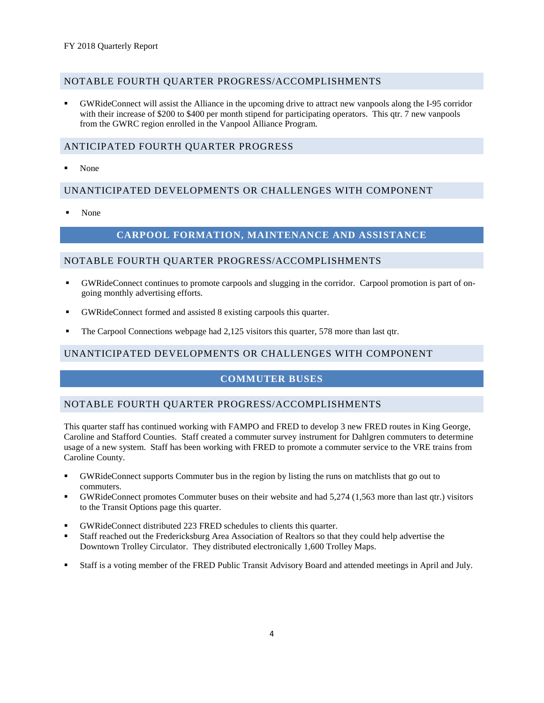#### NOTABLE FOURTH QUARTER PROGRESS/ACCOMPLISHMENTS

 GWRideConnect will assist the Alliance in the upcoming drive to attract new vanpools along the I-95 corridor with their increase of \$200 to \$400 per month stipend for participating operators. This qtr. 7 new vanpools from the GWRC region enrolled in the Vanpool Alliance Program.

#### ANTICIPATED FOURTH QUARTER PROGRESS

None

#### UNANTICIPATED DEVELOPMENTS OR CHALLENGES WITH COMPONENT

None

#### **CARPOOL FORMATION, MAINTENANCE AND ASSISTANCE**

#### NOTABLE FOURTH QUARTER PROGRESS/ACCOMPLISHMENTS

- GWRideConnect continues to promote carpools and slugging in the corridor. Carpool promotion is part of ongoing monthly advertising efforts.
- GWRideConnect formed and assisted 8 existing carpools this quarter.
- The Carpool Connections webpage had 2,125 visitors this quarter, 578 more than last qtr.

#### UNANTICIPATED DEVELOPMENTS OR CHALLENGES WITH COMPONENT

#### **COMMUTER BUSES**

#### NOTABLE FOURTH QUARTER PROGRESS/ACCOMPLISHMENTS

This quarter staff has continued working with FAMPO and FRED to develop 3 new FRED routes in King George, Caroline and Stafford Counties. Staff created a commuter survey instrument for Dahlgren commuters to determine usage of a new system. Staff has been working with FRED to promote a commuter service to the VRE trains from Caroline County.

- GWRideConnect supports Commuter bus in the region by listing the runs on matchlists that go out to commuters.
- GWRideConnect promotes Commuter buses on their website and had 5,274 (1,563 more than last qtr.) visitors to the Transit Options page this quarter.
- GWRideConnect distributed 223 FRED schedules to clients this quarter.
- Staff reached out the Fredericksburg Area Association of Realtors so that they could help advertise the Downtown Trolley Circulator. They distributed electronically 1,600 Trolley Maps.
- Staff is a voting member of the FRED Public Transit Advisory Board and attended meetings in April and July.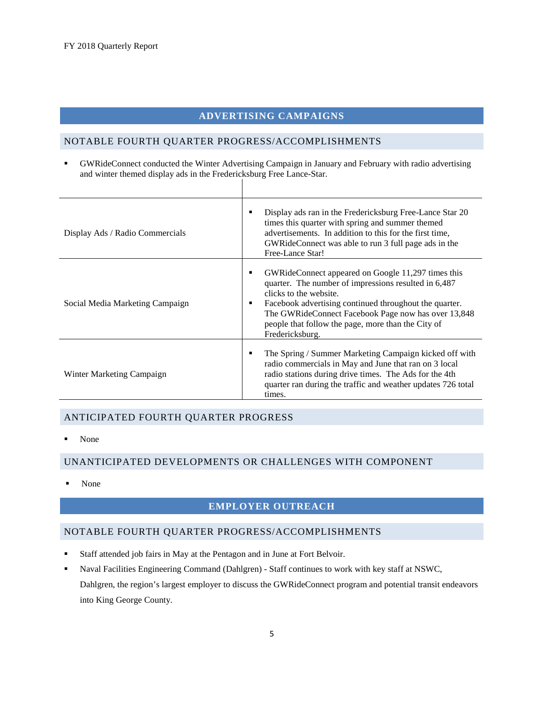#### **ADVERTISING CAMPAIGNS**

#### NOTABLE FOURTH QUARTER PROGRESS/ACCOMPLISHMENTS

 GWRideConnect conducted the Winter Advertising Campaign in January and February with radio advertising and winter themed display ads in the Fredericksburg Free Lance-Star.

| Display Ads / Radio Commercials | Display ads ran in the Fredericksburg Free-Lance Star 20<br>times this quarter with spring and summer themed<br>advertisements. In addition to this for the first time,<br>GWRideConnect was able to run 3 full page ads in the<br>Free-Lance Star!                                                                            |
|---------------------------------|--------------------------------------------------------------------------------------------------------------------------------------------------------------------------------------------------------------------------------------------------------------------------------------------------------------------------------|
| Social Media Marketing Campaign | GWRideConnect appeared on Google 11,297 times this<br>quarter. The number of impressions resulted in 6,487<br>clicks to the website.<br>Facebook advertising continued throughout the quarter.<br>The GWRideConnect Facebook Page now has over 13,848<br>people that follow the page, more than the City of<br>Fredericksburg. |
| Winter Marketing Campaign       | The Spring / Summer Marketing Campaign kicked off with<br>radio commercials in May and June that ran on 3 local<br>radio stations during drive times. The Ads for the 4th<br>quarter ran during the traffic and weather updates 726 total<br>times.                                                                            |

#### ANTICIPATED FOURTH QUARTER PROGRESS

• None

#### UNANTICIPATED DEVELOPMENTS OR CHALLENGES WITH COMPONENT

None

#### **EMPLOYER OUTREACH**

#### NOTABLE FOURTH QUARTER PROGRESS/ACCOMPLISHMENTS

- Staff attended job fairs in May at the Pentagon and in June at Fort Belvoir.
- Naval Facilities Engineering Command (Dahlgren) Staff continues to work with key staff at NSWC, Dahlgren, the region's largest employer to discuss the GWRideConnect program and potential transit endeavors into King George County.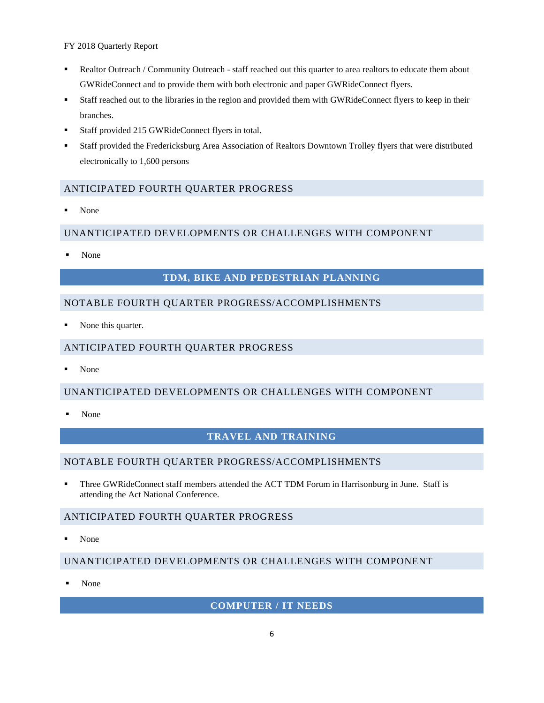FY 2018 Quarterly Report

- Realtor Outreach / Community Outreach staff reached out this quarter to area realtors to educate them about GWRideConnect and to provide them with both electronic and paper GWRideConnect flyers.
- Staff reached out to the libraries in the region and provided them with GWRideConnect flyers to keep in their branches.
- Staff provided 215 GWRideConnect flyers in total.
- Staff provided the Fredericksburg Area Association of Realtors Downtown Trolley flyers that were distributed electronically to 1,600 persons

#### ANTICIPATED FOURTH QUARTER PROGRESS

None

#### UNANTICIPATED DEVELOPMENTS OR CHALLENGES WITH COMPONENT

None

#### **TDM, BIKE AND PEDESTRIAN PLANNING**

#### NOTABLE FOURTH QUARTER PROGRESS/ACCOMPLISHMENTS

None this quarter.

#### ANTICIPATED FOURTH QUARTER PROGRESS

None

#### UNANTICIPATED DEVELOPMENTS OR CHALLENGES WITH COMPONENT

None

#### **TRAVEL AND TRAINING**

#### NOTABLE FOURTH QUARTER PROGRESS/ACCOMPLISHMENTS

 Three GWRideConnect staff members attended the ACT TDM Forum in Harrisonburg in June. Staff is attending the Act National Conference.

#### ANTICIPATED FOURTH QUARTER PROGRESS

None

#### UNANTICIPATED DEVELOPMENTS OR CHALLENGES WITH COMPONENT

None

#### **COMPUTER / IT NEEDS**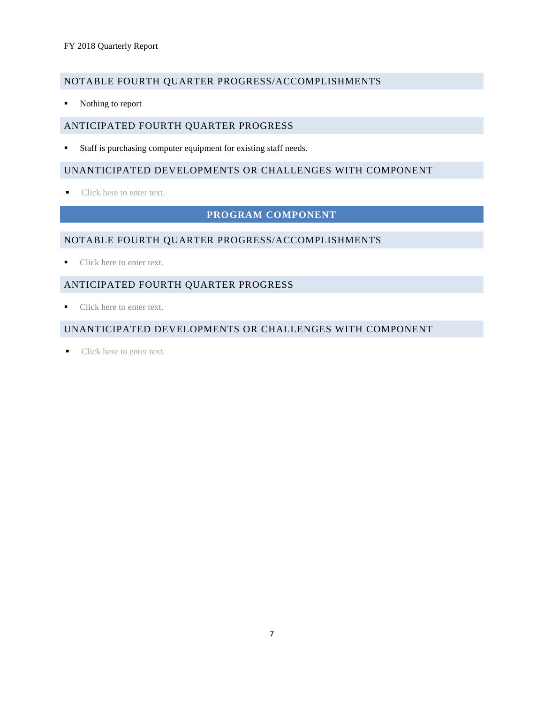#### NOTABLE FOURTH QUARTER PROGRESS/ACCOMPLISHMENTS

Nothing to report

#### ANTICIPATED FOURTH QUARTER PROGRESS

Staff is purchasing computer equipment for existing staff needs.

#### UNANTICIPATED DEVELOPMENTS OR CHALLENGES WITH COMPONENT

■ Click here to enter text.

### **PROGRAM COMPONENT**

#### NOTABLE FOURTH QUARTER PROGRESS/ACCOMPLISHMENTS

■ Click here to enter text.

#### ANTICIPATED FOURTH QUARTER PROGRESS

Click here to enter text.

#### UNANTICIPATED DEVELOPMENTS OR CHALLENGES WITH COMPONENT

Click here to enter text.